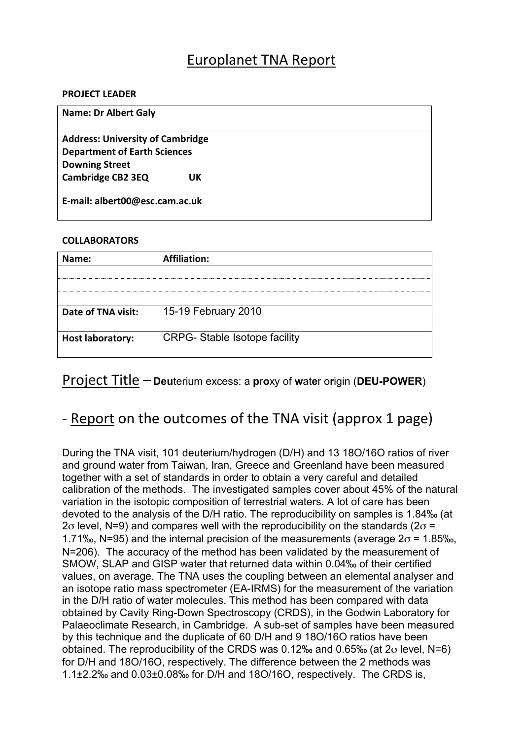## Europlanet TNA Report

#### **PROJECT LEADER**

| <b>Name: Dr Albert Galy</b>             |  |
|-----------------------------------------|--|
| <b>Address: University of Cambridge</b> |  |
| <b>Department of Earth Sciences</b>     |  |
| <b>Downing Street</b>                   |  |
| <b>Cambridge CB2 3EQ</b><br>UK          |  |
| E-mail: albert00@esc.cam.ac.uk          |  |

### **COLLABORATORS**

| Name:                   | <b>Affiliation:</b>                  |
|-------------------------|--------------------------------------|
|                         |                                      |
|                         |                                      |
|                         |                                      |
| Date of TNA visit:      | 15-19 February 2010                  |
| <b>Host laboratory:</b> | <b>CRPG-</b> Stable Isotope facility |

### Project+Title – **Deu**terium excess: a **p**r**o**xy of **w**at**e**r o**r**igin (**DEU-POWER**)

## - Report on the outcomes of the TNA visit (approx 1 page)

During the TNA visit, 101 deuterium/hydrogen (D/H) and 13 18O/16O ratios of river and ground water from Taiwan, Iran, Greece and Greenland have been measured together with a set of standards in order to obtain a very careful and detailed calibration of the methods. The investigated samples cover about 45% of the natural variation in the isotopic composition of terrestrial waters. A lot of care has been devoted to the analysis of the D/H ratio. The reproducibility on samples is 1.84‰ (at 2 $\sigma$  level, N=9) and compares well with the reproducibility on the standards (2 $\sigma$  = 1.71‰, N=95) and the internal precision of the measurements (average  $2\sigma$  = 1.85‰, N=206). The accuracy of the method has been validated by the measurement of SMOW, SLAP and GISP water that returned data within 0.04‰ of their certified values, on average. The TNA uses the coupling between an elemental analyser and an isotope ratio mass spectrometer (EA-IRMS) for the measurement of the variation in the D/H ratio of water molecules. This method has been compared with data obtained by Cavity Ring-Down Spectroscopy (CRDS), in the Godwin Laboratory for Palaeoclimate Research, in Cambridge. A sub-set of samples have been measured by this technique and the duplicate of 60 D/H and 9 18O/16O ratios have been obtained. The reproducibility of the CRDS was  $0.12\%$  and  $0.65\%$  (at  $2\sigma$  level, N=6) for D/H and 18O/16O, respectively. The difference between the 2 methods was 1.1±2.2‰ and 0.03±0.08‰ for D/H and 18O/16O, respectively. The CRDS is,